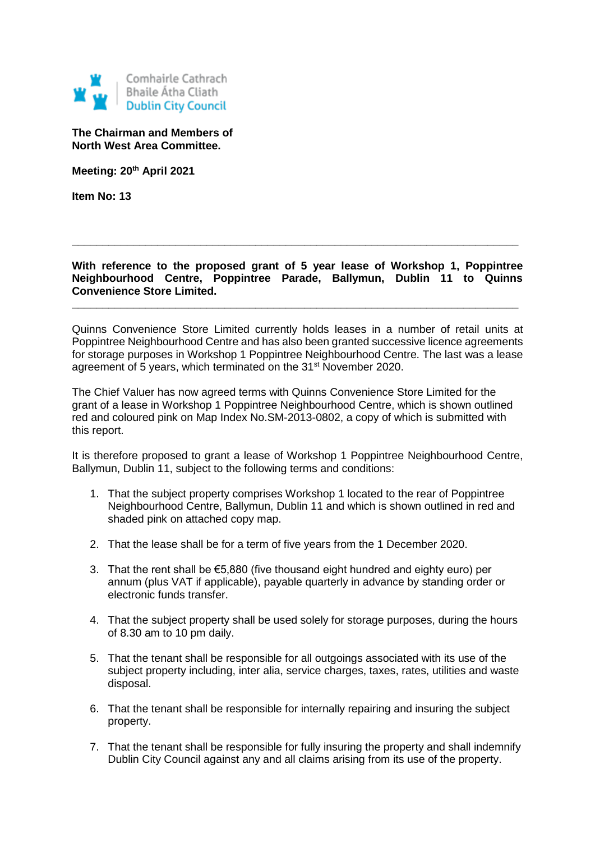

**The Chairman and Members of North West Area Committee.**

**Meeting: 20th April 2021**

**Item No: 13**

**With reference to the proposed grant of 5 year lease of Workshop 1, Poppintree Neighbourhood Centre, Poppintree Parade, Ballymun, Dublin 11 to Quinns Convenience Store Limited.**

**\_\_\_\_\_\_\_\_\_\_\_\_\_\_\_\_\_\_\_\_\_\_\_\_\_\_\_\_\_\_\_\_\_\_\_\_\_\_\_\_\_\_\_\_\_\_\_\_\_\_\_\_\_\_\_\_\_\_\_\_\_\_\_\_\_\_\_\_\_\_\_\_\_**

**\_\_\_\_\_\_\_\_\_\_\_\_\_\_\_\_\_\_\_\_\_\_\_\_\_\_\_\_\_\_\_\_\_\_\_\_\_\_\_\_\_\_\_\_\_\_\_\_\_\_\_\_\_\_\_\_\_\_\_\_\_\_\_\_\_\_\_\_\_\_\_\_\_**

Quinns Convenience Store Limited currently holds leases in a number of retail units at Poppintree Neighbourhood Centre and has also been granted successive licence agreements for storage purposes in Workshop 1 Poppintree Neighbourhood Centre. The last was a lease agreement of 5 years, which terminated on the 31st November 2020.

The Chief Valuer has now agreed terms with Quinns Convenience Store Limited for the grant of a lease in Workshop 1 Poppintree Neighbourhood Centre, which is shown outlined red and coloured pink on Map Index No.SM-2013-0802, a copy of which is submitted with this report.

It is therefore proposed to grant a lease of Workshop 1 Poppintree Neighbourhood Centre, Ballymun, Dublin 11, subject to the following terms and conditions:

- 1. That the subject property comprises Workshop 1 located to the rear of Poppintree Neighbourhood Centre, Ballymun, Dublin 11 and which is shown outlined in red and shaded pink on attached copy map.
- 2. That the lease shall be for a term of five years from the 1 December 2020.
- 3. That the rent shall be €5,880 (five thousand eight hundred and eighty euro) per annum (plus VAT if applicable), payable quarterly in advance by standing order or electronic funds transfer.
- 4. That the subject property shall be used solely for storage purposes, during the hours of 8.30 am to 10 pm daily.
- 5. That the tenant shall be responsible for all outgoings associated with its use of the subject property including, inter alia, service charges, taxes, rates, utilities and waste disposal.
- 6. That the tenant shall be responsible for internally repairing and insuring the subject property.
- 7. That the tenant shall be responsible for fully insuring the property and shall indemnify Dublin City Council against any and all claims arising from its use of the property.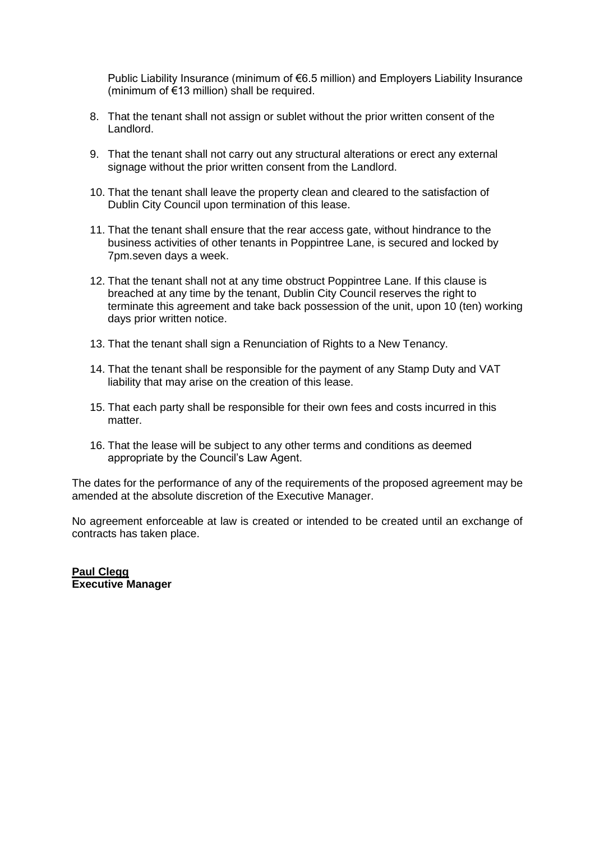Public Liability Insurance (minimum of €6.5 million) and Employers Liability Insurance (minimum of €13 million) shall be required.

- 8. That the tenant shall not assign or sublet without the prior written consent of the Landlord.
- 9. That the tenant shall not carry out any structural alterations or erect any external signage without the prior written consent from the Landlord.
- 10. That the tenant shall leave the property clean and cleared to the satisfaction of Dublin City Council upon termination of this lease.
- 11. That the tenant shall ensure that the rear access gate, without hindrance to the business activities of other tenants in Poppintree Lane, is secured and locked by 7pm.seven days a week.
- 12. That the tenant shall not at any time obstruct Poppintree Lane. If this clause is breached at any time by the tenant, Dublin City Council reserves the right to terminate this agreement and take back possession of the unit, upon 10 (ten) working days prior written notice.
- 13. That the tenant shall sign a Renunciation of Rights to a New Tenancy.
- 14. That the tenant shall be responsible for the payment of any Stamp Duty and VAT liability that may arise on the creation of this lease.
- 15. That each party shall be responsible for their own fees and costs incurred in this matter.
- 16. That the lease will be subject to any other terms and conditions as deemed appropriate by the Council's Law Agent.

The dates for the performance of any of the requirements of the proposed agreement may be amended at the absolute discretion of the Executive Manager.

No agreement enforceable at law is created or intended to be created until an exchange of contracts has taken place.

**Paul Clegg Executive Manager**